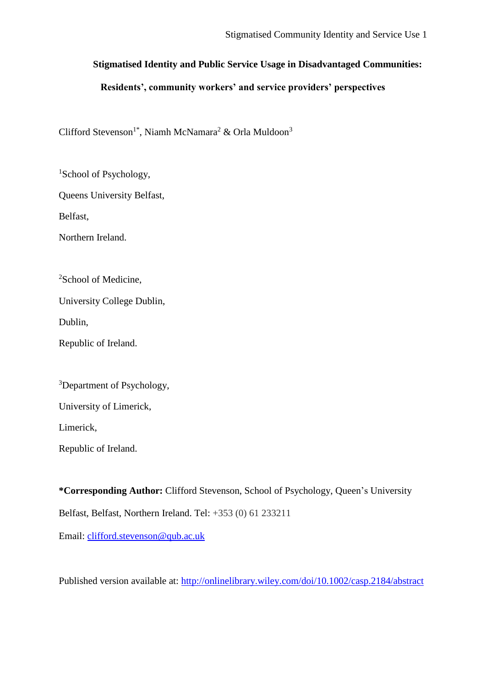## **Stigmatised Identity and Public Service Usage in Disadvantaged Communities:**

# **Residents', community workers' and service providers' perspectives**

Clifford Stevenson<sup>1\*</sup>, Niamh McNamara<sup>2</sup> & Orla Muldoon<sup>3</sup>

<sup>1</sup>School of Psychology,

Queens University Belfast,

Belfast,

Northern Ireland.

<sup>2</sup>School of Medicine,

University College Dublin,

Dublin,

Republic of Ireland.

<sup>3</sup>Department of Psychology,

University of Limerick,

Limerick,

Republic of Ireland.

**\*Corresponding Author:** Clifford Stevenson, School of Psychology, Queen's University

Belfast, Belfast, Northern Ireland. Tel: +353 (0) 61 233211

Email: [clifford.stevenson@qub.ac.uk](mailto:clifford.stevenson@qub.ac.uk)

Published version available at:<http://onlinelibrary.wiley.com/doi/10.1002/casp.2184/abstract>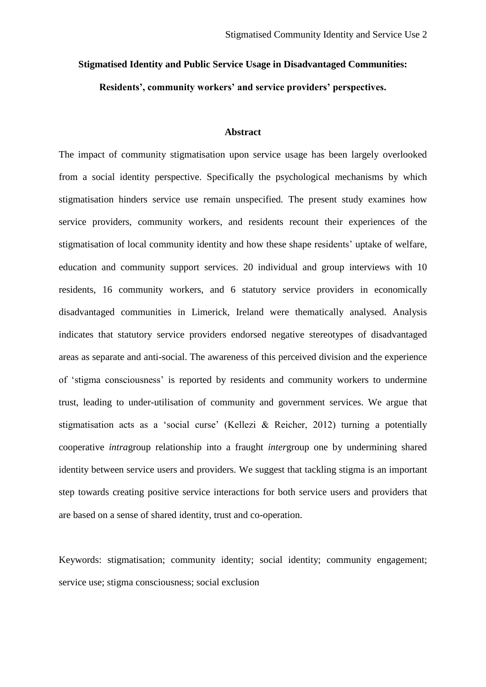# **Stigmatised Identity and Public Service Usage in Disadvantaged Communities:**

**Residents', community workers' and service providers' perspectives.**

#### **Abstract**

The impact of community stigmatisation upon service usage has been largely overlooked from a social identity perspective. Specifically the psychological mechanisms by which stigmatisation hinders service use remain unspecified. The present study examines how service providers, community workers, and residents recount their experiences of the stigmatisation of local community identity and how these shape residents' uptake of welfare, education and community support services. 20 individual and group interviews with 10 residents, 16 community workers, and 6 statutory service providers in economically disadvantaged communities in Limerick, Ireland were thematically analysed. Analysis indicates that statutory service providers endorsed negative stereotypes of disadvantaged areas as separate and anti-social. The awareness of this perceived division and the experience of 'stigma consciousness' is reported by residents and community workers to undermine trust, leading to under-utilisation of community and government services. We argue that stigmatisation acts as a 'social curse' (Kellezi & Reicher, 2012) turning a potentially cooperative *intra*group relationship into a fraught *inter*group one by undermining shared identity between service users and providers. We suggest that tackling stigma is an important step towards creating positive service interactions for both service users and providers that are based on a sense of shared identity, trust and co-operation.

Keywords: stigmatisation; community identity; social identity; community engagement; service use; stigma consciousness; social exclusion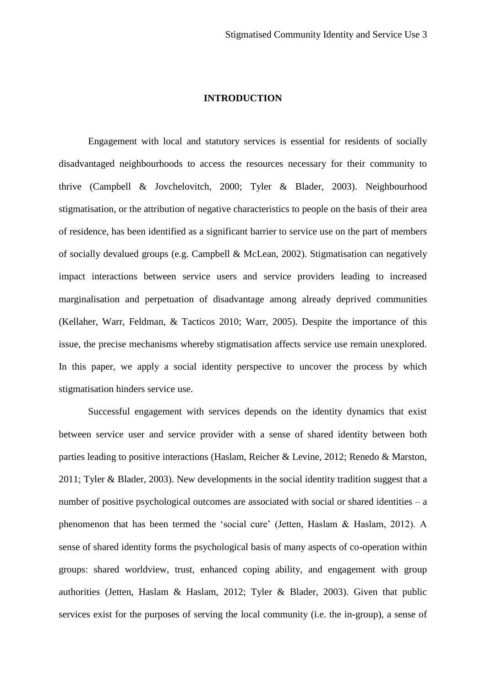## **INTRODUCTION**

Engagement with local and statutory services is essential for residents of socially disadvantaged neighbourhoods to access the resources necessary for their community to thrive (Campbell & Jovchelovitch, 2000; Tyler & Blader, 2003). Neighbourhood stigmatisation, or the attribution of negative characteristics to people on the basis of their area of residence, has been identified as a significant barrier to service use on the part of members of socially devalued groups (e.g. Campbell & McLean, 2002). Stigmatisation can negatively impact interactions between service users and service providers leading to increased marginalisation and perpetuation of disadvantage among already deprived communities (Kellaher, Warr, Feldman, & Tacticos 2010; Warr, 2005). Despite the importance of this issue, the precise mechanisms whereby stigmatisation affects service use remain unexplored. In this paper, we apply a social identity perspective to uncover the process by which stigmatisation hinders service use.

Successful engagement with services depends on the identity dynamics that exist between service user and service provider with a sense of shared identity between both parties leading to positive interactions (Haslam, Reicher & Levine, 2012; Renedo & Marston, 2011; Tyler & Blader, 2003). New developments in the social identity tradition suggest that a number of positive psychological outcomes are associated with social or shared identities – a phenomenon that has been termed the 'social cure' (Jetten, Haslam & Haslam, 2012). A sense of shared identity forms the psychological basis of many aspects of co-operation within groups: shared worldview, trust, enhanced coping ability, and engagement with group authorities (Jetten, Haslam & Haslam, 2012; Tyler & Blader, 2003). Given that public services exist for the purposes of serving the local community (i.e. the in-group), a sense of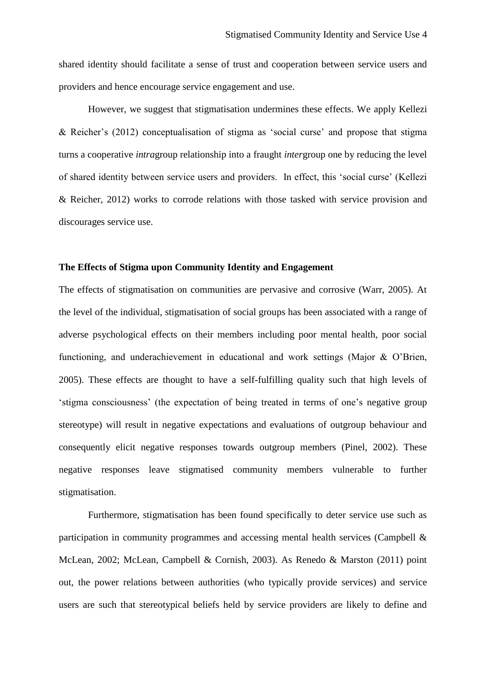shared identity should facilitate a sense of trust and cooperation between service users and providers and hence encourage service engagement and use.

However, we suggest that stigmatisation undermines these effects. We apply Kellezi & Reicher's (2012) conceptualisation of stigma as 'social curse' and propose that stigma turns a cooperative *intra*group relationship into a fraught *inter*group one by reducing the level of shared identity between service users and providers. In effect, this 'social curse' (Kellezi & Reicher, 2012) works to corrode relations with those tasked with service provision and discourages service use.

## **The Effects of Stigma upon Community Identity and Engagement**

The effects of stigmatisation on communities are pervasive and corrosive (Warr, 2005). At the level of the individual, stigmatisation of social groups has been associated with a range of adverse psychological effects on their members including poor mental health, poor social functioning, and underachievement in educational and work settings (Major & O'Brien, 2005). These effects are thought to have a self-fulfilling quality such that high levels of 'stigma consciousness' (the expectation of being treated in terms of one's negative group stereotype) will result in negative expectations and evaluations of outgroup behaviour and consequently elicit negative responses towards outgroup members (Pinel, 2002). These negative responses leave stigmatised community members vulnerable to further stigmatisation.

Furthermore, stigmatisation has been found specifically to deter service use such as participation in community programmes and accessing mental health services (Campbell & McLean, 2002; McLean, Campbell & Cornish, 2003). As Renedo & Marston (2011) point out, the power relations between authorities (who typically provide services) and service users are such that stereotypical beliefs held by service providers are likely to define and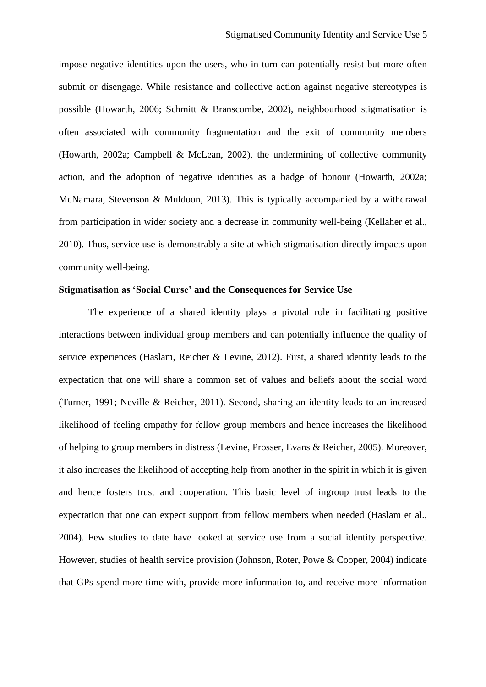impose negative identities upon the users, who in turn can potentially resist but more often submit or disengage. While resistance and collective action against negative stereotypes is possible (Howarth, 2006; Schmitt & Branscombe, 2002), neighbourhood stigmatisation is often associated with community fragmentation and the exit of community members (Howarth, 2002a; Campbell & McLean, 2002), the undermining of collective community action, and the adoption of negative identities as a badge of honour (Howarth, 2002a; McNamara, Stevenson & Muldoon, 2013). This is typically accompanied by a withdrawal from participation in wider society and a decrease in community well-being (Kellaher et al., 2010). Thus, service use is demonstrably a site at which stigmatisation directly impacts upon community well-being.

## **Stigmatisation as 'Social Curse' and the Consequences for Service Use**

The experience of a shared identity plays a pivotal role in facilitating positive interactions between individual group members and can potentially influence the quality of service experiences (Haslam, Reicher & Levine, 2012). First, a shared identity leads to the expectation that one will share a common set of values and beliefs about the social word (Turner, 1991; Neville & Reicher, 2011). Second, sharing an identity leads to an increased likelihood of feeling empathy for fellow group members and hence increases the likelihood of helping to group members in distress (Levine, Prosser, Evans & Reicher, 2005). Moreover, it also increases the likelihood of accepting help from another in the spirit in which it is given and hence fosters trust and cooperation. This basic level of ingroup trust leads to the expectation that one can expect support from fellow members when needed (Haslam et al., 2004). Few studies to date have looked at service use from a social identity perspective. However, studies of health service provision (Johnson, Roter, Powe & Cooper, 2004) indicate that GPs spend more time with, provide more information to, and receive more information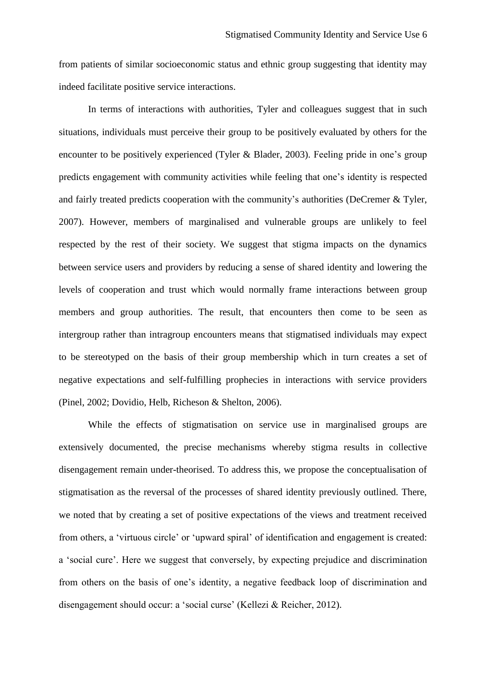from patients of similar socioeconomic status and ethnic group suggesting that identity may indeed facilitate positive service interactions.

In terms of interactions with authorities, Tyler and colleagues suggest that in such situations, individuals must perceive their group to be positively evaluated by others for the encounter to be positively experienced (Tyler & Blader, 2003). Feeling pride in one's group predicts engagement with community activities while feeling that one's identity is respected and fairly treated predicts cooperation with the community's authorities (DeCremer & Tyler, 2007). However, members of marginalised and vulnerable groups are unlikely to feel respected by the rest of their society. We suggest that stigma impacts on the dynamics between service users and providers by reducing a sense of shared identity and lowering the levels of cooperation and trust which would normally frame interactions between group members and group authorities. The result, that encounters then come to be seen as intergroup rather than intragroup encounters means that stigmatised individuals may expect to be stereotyped on the basis of their group membership which in turn creates a set of negative expectations and self-fulfilling prophecies in interactions with service providers (Pinel, 2002; Dovidio, Helb, Richeson & Shelton, 2006).

While the effects of stigmatisation on service use in marginalised groups are extensively documented, the precise mechanisms whereby stigma results in collective disengagement remain under-theorised. To address this, we propose the conceptualisation of stigmatisation as the reversal of the processes of shared identity previously outlined. There, we noted that by creating a set of positive expectations of the views and treatment received from others, a 'virtuous circle' or 'upward spiral' of identification and engagement is created: a 'social cure'. Here we suggest that conversely, by expecting prejudice and discrimination from others on the basis of one's identity, a negative feedback loop of discrimination and disengagement should occur: a 'social curse' (Kellezi & Reicher, 2012).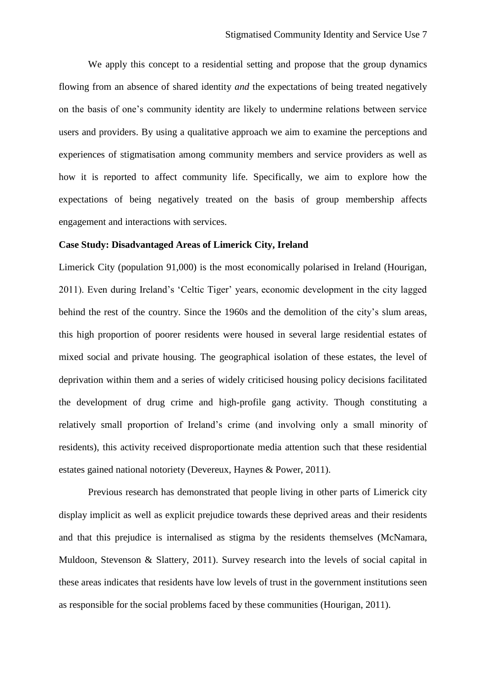We apply this concept to a residential setting and propose that the group dynamics flowing from an absence of shared identity *and* the expectations of being treated negatively on the basis of one's community identity are likely to undermine relations between service users and providers. By using a qualitative approach we aim to examine the perceptions and experiences of stigmatisation among community members and service providers as well as how it is reported to affect community life. Specifically, we aim to explore how the expectations of being negatively treated on the basis of group membership affects engagement and interactions with services.

#### **Case Study: Disadvantaged Areas of Limerick City, Ireland**

Limerick City (population 91,000) is the most economically polarised in Ireland (Hourigan, 2011). Even during Ireland's 'Celtic Tiger' years, economic development in the city lagged behind the rest of the country. Since the 1960s and the demolition of the city's slum areas, this high proportion of poorer residents were housed in several large residential estates of mixed social and private housing. The geographical isolation of these estates, the level of deprivation within them and a series of widely criticised housing policy decisions facilitated the development of drug crime and high-profile gang activity. Though constituting a relatively small proportion of Ireland's crime (and involving only a small minority of residents), this activity received disproportionate media attention such that these residential estates gained national notoriety (Devereux, Haynes & Power, 2011).

Previous research has demonstrated that people living in other parts of Limerick city display implicit as well as explicit prejudice towards these deprived areas and their residents and that this prejudice is internalised as stigma by the residents themselves (McNamara, Muldoon, Stevenson & Slattery, 2011). Survey research into the levels of social capital in these areas indicates that residents have low levels of trust in the government institutions seen as responsible for the social problems faced by these communities (Hourigan, 2011).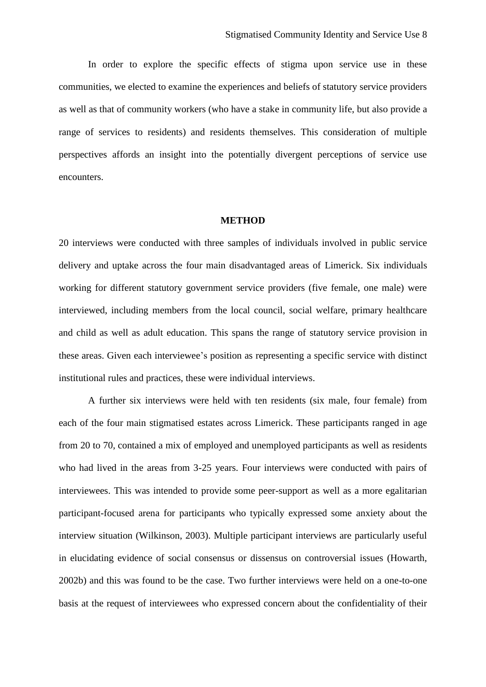In order to explore the specific effects of stigma upon service use in these communities, we elected to examine the experiences and beliefs of statutory service providers as well as that of community workers (who have a stake in community life, but also provide a range of services to residents) and residents themselves. This consideration of multiple perspectives affords an insight into the potentially divergent perceptions of service use encounters.

## **METHOD**

20 interviews were conducted with three samples of individuals involved in public service delivery and uptake across the four main disadvantaged areas of Limerick. Six individuals working for different statutory government service providers (five female, one male) were interviewed, including members from the local council, social welfare, primary healthcare and child as well as adult education. This spans the range of statutory service provision in these areas. Given each interviewee's position as representing a specific service with distinct institutional rules and practices, these were individual interviews.

A further six interviews were held with ten residents (six male, four female) from each of the four main stigmatised estates across Limerick. These participants ranged in age from 20 to 70, contained a mix of employed and unemployed participants as well as residents who had lived in the areas from 3-25 years. Four interviews were conducted with pairs of interviewees. This was intended to provide some peer-support as well as a more egalitarian participant-focused arena for participants who typically expressed some anxiety about the interview situation (Wilkinson, 2003). Multiple participant interviews are particularly useful in elucidating evidence of social consensus or dissensus on controversial issues (Howarth, 2002b) and this was found to be the case. Two further interviews were held on a one-to-one basis at the request of interviewees who expressed concern about the confidentiality of their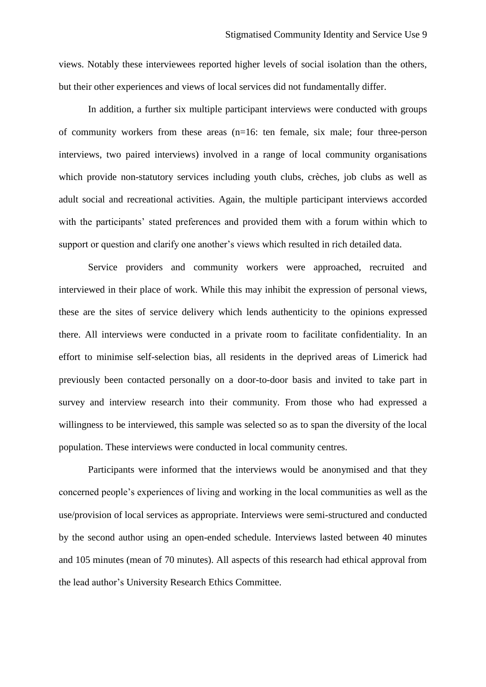views. Notably these interviewees reported higher levels of social isolation than the others, but their other experiences and views of local services did not fundamentally differ.

In addition, a further six multiple participant interviews were conducted with groups of community workers from these areas (n=16: ten female, six male; four three-person interviews, two paired interviews) involved in a range of local community organisations which provide non-statutory services including youth clubs, crèches, job clubs as well as adult social and recreational activities. Again, the multiple participant interviews accorded with the participants' stated preferences and provided them with a forum within which to support or question and clarify one another's views which resulted in rich detailed data.

Service providers and community workers were approached, recruited and interviewed in their place of work. While this may inhibit the expression of personal views, these are the sites of service delivery which lends authenticity to the opinions expressed there. All interviews were conducted in a private room to facilitate confidentiality. In an effort to minimise self-selection bias, all residents in the deprived areas of Limerick had previously been contacted personally on a door-to-door basis and invited to take part in survey and interview research into their community. From those who had expressed a willingness to be interviewed, this sample was selected so as to span the diversity of the local population. These interviews were conducted in local community centres.

Participants were informed that the interviews would be anonymised and that they concerned people's experiences of living and working in the local communities as well as the use/provision of local services as appropriate. Interviews were semi-structured and conducted by the second author using an open-ended schedule. Interviews lasted between 40 minutes and 105 minutes (mean of 70 minutes). All aspects of this research had ethical approval from the lead author's University Research Ethics Committee.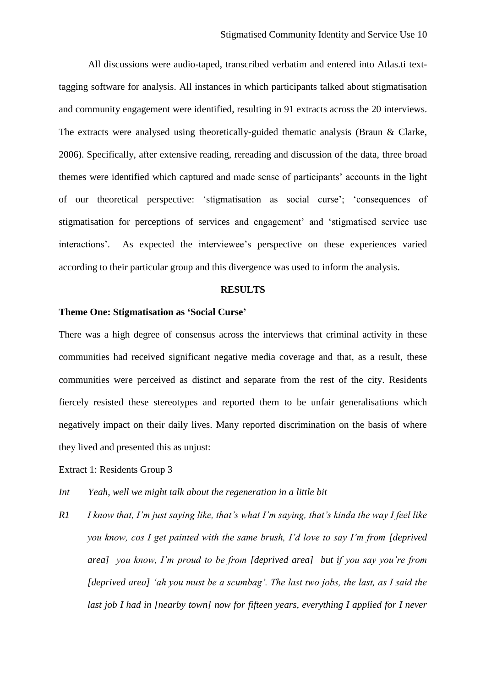All discussions were audio-taped, transcribed verbatim and entered into Atlas.ti texttagging software for analysis. All instances in which participants talked about stigmatisation and community engagement were identified, resulting in 91 extracts across the 20 interviews. The extracts were analysed using theoretically-guided thematic analysis (Braun & Clarke, 2006). Specifically, after extensive reading, rereading and discussion of the data, three broad themes were identified which captured and made sense of participants' accounts in the light of our theoretical perspective: 'stigmatisation as social curse'; 'consequences of stigmatisation for perceptions of services and engagement' and 'stigmatised service use interactions'. As expected the interviewee's perspective on these experiences varied according to their particular group and this divergence was used to inform the analysis.

## **RESULTS**

## **Theme One: Stigmatisation as 'Social Curse'**

There was a high degree of consensus across the interviews that criminal activity in these communities had received significant negative media coverage and that, as a result, these communities were perceived as distinct and separate from the rest of the city. Residents fiercely resisted these stereotypes and reported them to be unfair generalisations which negatively impact on their daily lives. Many reported discrimination on the basis of where they lived and presented this as unjust:

Extract 1: Residents Group 3

- *Int Yeah, well we might talk about the regeneration in a little bit*
- *R1 I know that, I'm just saying like, that's what I'm saying, that's kinda the way I feel like you know, cos I get painted with the same brush, I'd love to say I'm from [deprived area] you know, I'm proud to be from [deprived area] but if you say you're from [deprived area] 'ah you must be a scumbag'. The last two jobs, the last, as I said the last job I had in [nearby town] now for fifteen years, everything I applied for I never*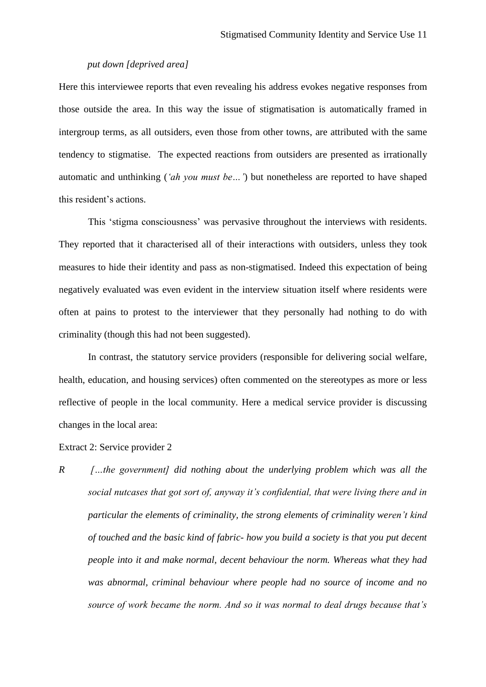## *put down [deprived area]*

Here this interviewee reports that even revealing his address evokes negative responses from those outside the area. In this way the issue of stigmatisation is automatically framed in intergroup terms, as all outsiders, even those from other towns, are attributed with the same tendency to stigmatise. The expected reactions from outsiders are presented as irrationally automatic and unthinking (*'ah you must be…'*) but nonetheless are reported to have shaped this resident's actions.

This 'stigma consciousness' was pervasive throughout the interviews with residents. They reported that it characterised all of their interactions with outsiders, unless they took measures to hide their identity and pass as non-stigmatised. Indeed this expectation of being negatively evaluated was even evident in the interview situation itself where residents were often at pains to protest to the interviewer that they personally had nothing to do with criminality (though this had not been suggested).

In contrast, the statutory service providers (responsible for delivering social welfare, health, education, and housing services) often commented on the stereotypes as more or less reflective of people in the local community. Here a medical service provider is discussing changes in the local area:

Extract 2: Service provider 2

*R […the government] did nothing about the underlying problem which was all the social nutcases that got sort of, anyway it's confidential, that were living there and in particular the elements of criminality, the strong elements of criminality weren't kind of touched and the basic kind of fabric- how you build a society is that you put decent people into it and make normal, decent behaviour the norm. Whereas what they had was abnormal, criminal behaviour where people had no source of income and no source of work became the norm. And so it was normal to deal drugs because that's*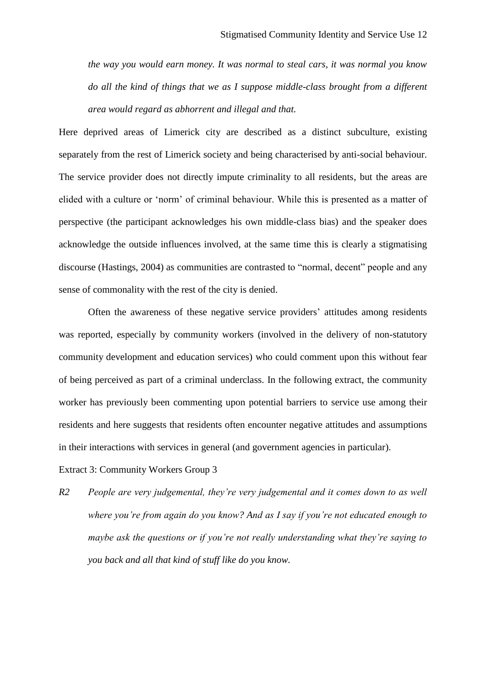*the way you would earn money. It was normal to steal cars, it was normal you know do all the kind of things that we as I suppose middle-class brought from a different area would regard as abhorrent and illegal and that.* 

Here deprived areas of Limerick city are described as a distinct subculture, existing separately from the rest of Limerick society and being characterised by anti-social behaviour. The service provider does not directly impute criminality to all residents, but the areas are elided with a culture or 'norm' of criminal behaviour. While this is presented as a matter of perspective (the participant acknowledges his own middle-class bias) and the speaker does acknowledge the outside influences involved, at the same time this is clearly a stigmatising discourse (Hastings, 2004) as communities are contrasted to "normal, decent" people and any sense of commonality with the rest of the city is denied.

Often the awareness of these negative service providers' attitudes among residents was reported, especially by community workers (involved in the delivery of non-statutory community development and education services) who could comment upon this without fear of being perceived as part of a criminal underclass. In the following extract, the community worker has previously been commenting upon potential barriers to service use among their residents and here suggests that residents often encounter negative attitudes and assumptions in their interactions with services in general (and government agencies in particular).

## Extract 3: Community Workers Group 3

*R2 People are very judgemental, they're very judgemental and it comes down to as well where you're from again do you know? And as I say if you're not educated enough to maybe ask the questions or if you're not really understanding what they're saying to you back and all that kind of stuff like do you know.*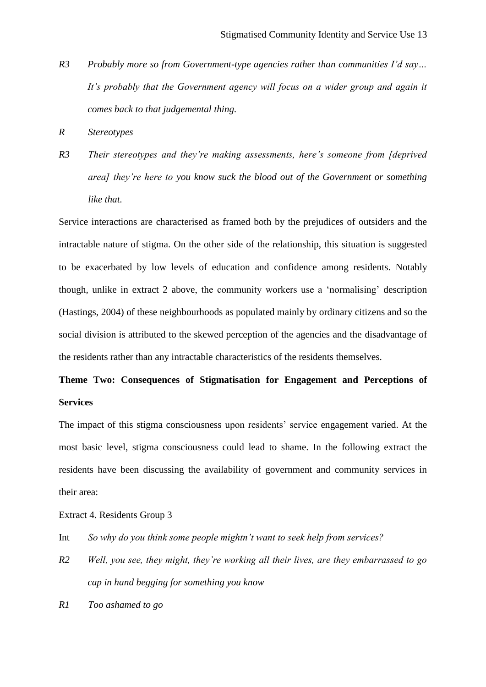- *R3 Probably more so from Government-type agencies rather than communities I'd say… It's probably that the Government agency will focus on a wider group and again it comes back to that judgemental thing.*
- *R Stereotypes*
- *R3 Their stereotypes and they're making assessments, here's someone from [deprived area] they're here to you know suck the blood out of the Government or something like that.*

Service interactions are characterised as framed both by the prejudices of outsiders and the intractable nature of stigma. On the other side of the relationship, this situation is suggested to be exacerbated by low levels of education and confidence among residents. Notably though, unlike in extract 2 above, the community workers use a 'normalising' description (Hastings, 2004) of these neighbourhoods as populated mainly by ordinary citizens and so the social division is attributed to the skewed perception of the agencies and the disadvantage of the residents rather than any intractable characteristics of the residents themselves.

# **Theme Two: Consequences of Stigmatisation for Engagement and Perceptions of Services**

The impact of this stigma consciousness upon residents' service engagement varied. At the most basic level, stigma consciousness could lead to shame. In the following extract the residents have been discussing the availability of government and community services in their area:

Extract 4. Residents Group 3

- Int *So why do you think some people mightn't want to seek help from services?*
- *R2 Well, you see, they might, they're working all their lives, are they embarrassed to go cap in hand begging for something you know*
- *R1 Too ashamed to go*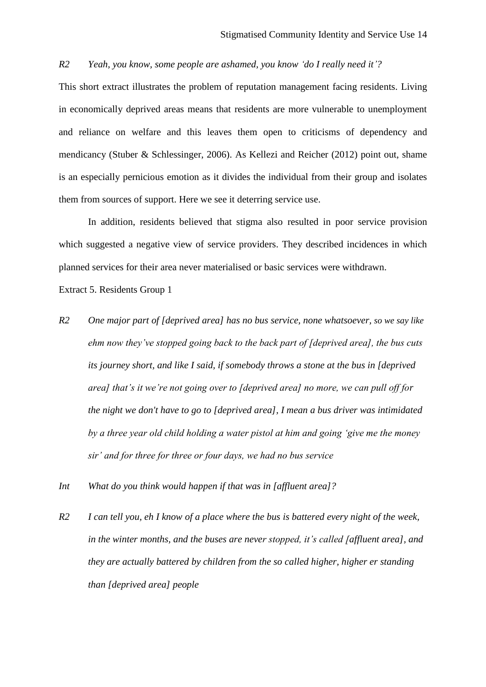## *R2 Yeah, you know, some people are ashamed, you know 'do I really need it'?*

This short extract illustrates the problem of reputation management facing residents. Living in economically deprived areas means that residents are more vulnerable to unemployment and reliance on welfare and this leaves them open to criticisms of dependency and mendicancy (Stuber & Schlessinger, 2006). As Kellezi and Reicher (2012) point out, shame is an especially pernicious emotion as it divides the individual from their group and isolates them from sources of support. Here we see it deterring service use.

In addition, residents believed that stigma also resulted in poor service provision which suggested a negative view of service providers. They described incidences in which planned services for their area never materialised or basic services were withdrawn.

Extract 5. Residents Group 1

- *R2 One major part of [deprived area] has no bus service, none whatsoever, so we say like ehm now they've stopped going back to the back part of [deprived area], the bus cuts its journey short, and like I said, if somebody throws a stone at the bus in [deprived area] that's it we're not going over to [deprived area] no more, we can pull off for the night we don't have to go to [deprived area], I mean a bus driver was intimidated by a three year old child holding a water pistol at him and going 'give me the money sir' and for three for three or four days, we had no bus service*
- *Int What do you think would happen if that was in [affluent area]?*
- *R2 I can tell you, eh I know of a place where the bus is battered every night of the week, in the winter months, and the buses are never stopped, it's called [affluent area], and they are actually battered by children from the so called higher, higher er standing than [deprived area] people*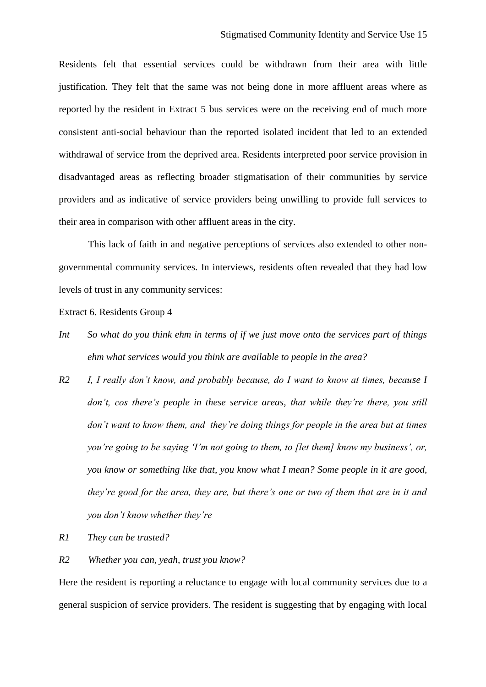Residents felt that essential services could be withdrawn from their area with little justification. They felt that the same was not being done in more affluent areas where as reported by the resident in Extract 5 bus services were on the receiving end of much more consistent anti-social behaviour than the reported isolated incident that led to an extended withdrawal of service from the deprived area. Residents interpreted poor service provision in disadvantaged areas as reflecting broader stigmatisation of their communities by service providers and as indicative of service providers being unwilling to provide full services to their area in comparison with other affluent areas in the city.

This lack of faith in and negative perceptions of services also extended to other nongovernmental community services. In interviews, residents often revealed that they had low levels of trust in any community services:

Extract 6. Residents Group 4

- *Int So what do you think ehm in terms of if we just move onto the services part of things ehm what services would you think are available to people in the area?*
- *R2 I, I really don't know, and probably because, do I want to know at times, because I don't, cos there's people in these service areas, that while they're there, you still don't want to know them, and they're doing things for people in the area but at times you're going to be saying 'I'm not going to them, to [let them] know my business', or, you know or something like that, you know what I mean? Some people in it are good, they're good for the area, they are, but there's one or two of them that are in it and you don't know whether they're*
- *R1 They can be trusted?*
- *R2 Whether you can, yeah, trust you know?*

Here the resident is reporting a reluctance to engage with local community services due to a general suspicion of service providers. The resident is suggesting that by engaging with local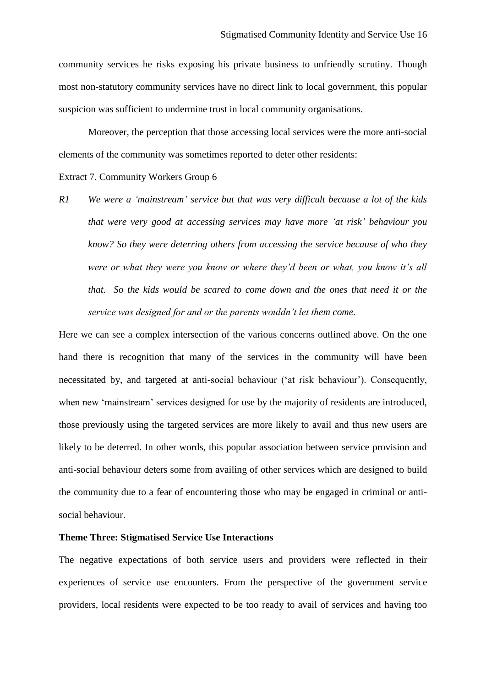community services he risks exposing his private business to unfriendly scrutiny. Though most non-statutory community services have no direct link to local government, this popular suspicion was sufficient to undermine trust in local community organisations.

Moreover, the perception that those accessing local services were the more anti-social elements of the community was sometimes reported to deter other residents:

## Extract 7. Community Workers Group 6

*R1 We were a 'mainstream' service but that was very difficult because a lot of the kids that were very good at accessing services may have more 'at risk' behaviour you know? So they were deterring others from accessing the service because of who they were or what they were you know or where they'd been or what, you know it's all that. So the kids would be scared to come down and the ones that need it or the service was designed for and or the parents wouldn't let them come.*

Here we can see a complex intersection of the various concerns outlined above. On the one hand there is recognition that many of the services in the community will have been necessitated by, and targeted at anti-social behaviour ('at risk behaviour'). Consequently, when new 'mainstream' services designed for use by the majority of residents are introduced, those previously using the targeted services are more likely to avail and thus new users are likely to be deterred. In other words, this popular association between service provision and anti-social behaviour deters some from availing of other services which are designed to build the community due to a fear of encountering those who may be engaged in criminal or antisocial behaviour.

## **Theme Three: Stigmatised Service Use Interactions**

The negative expectations of both service users and providers were reflected in their experiences of service use encounters. From the perspective of the government service providers, local residents were expected to be too ready to avail of services and having too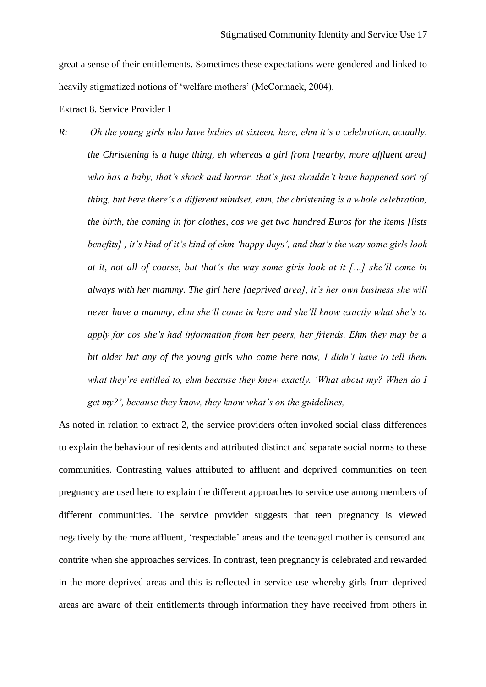great a sense of their entitlements. Sometimes these expectations were gendered and linked to heavily stigmatized notions of 'welfare mothers' (McCormack, 2004).

#### Extract 8. Service Provider 1

*R: Oh the young girls who have babies at sixteen, here, ehm it's a celebration, actually, the Christening is a huge thing, eh whereas a girl from [nearby, more affluent area]*  who has a baby, that's shock and horror, that's just shouldn't have happened sort of *thing, but here there's a different mindset, ehm, the christening is a whole celebration, the birth, the coming in for clothes, cos we get two hundred Euros for the items [lists benefits] , it's kind of it's kind of ehm 'happy days', and that's the way some girls look at it, not all of course, but that's the way some girls look at it […] she'll come in always with her mammy. The girl here [deprived area], it's her own business she will never have a mammy, ehm she'll come in here and she'll know exactly what she's to apply for cos she's had information from her peers, her friends. Ehm they may be a bit older but any of the young girls who come here now, I didn't have to tell them what they're entitled to, ehm because they knew exactly. 'What about my? When do I get my?', because they know, they know what's on the guidelines,*

As noted in relation to extract 2, the service providers often invoked social class differences to explain the behaviour of residents and attributed distinct and separate social norms to these communities. Contrasting values attributed to affluent and deprived communities on teen pregnancy are used here to explain the different approaches to service use among members of different communities. The service provider suggests that teen pregnancy is viewed negatively by the more affluent, 'respectable' areas and the teenaged mother is censored and contrite when she approaches services. In contrast, teen pregnancy is celebrated and rewarded in the more deprived areas and this is reflected in service use whereby girls from deprived areas are aware of their entitlements through information they have received from others in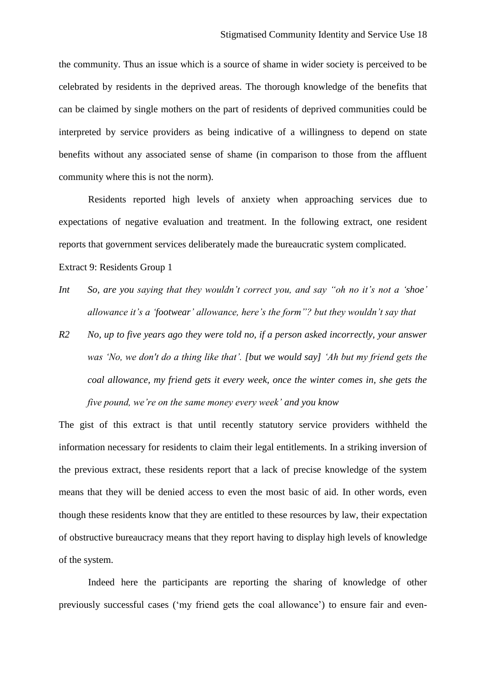the community. Thus an issue which is a source of shame in wider society is perceived to be celebrated by residents in the deprived areas. The thorough knowledge of the benefits that can be claimed by single mothers on the part of residents of deprived communities could be interpreted by service providers as being indicative of a willingness to depend on state benefits without any associated sense of shame (in comparison to those from the affluent community where this is not the norm).

Residents reported high levels of anxiety when approaching services due to expectations of negative evaluation and treatment. In the following extract, one resident reports that government services deliberately made the bureaucratic system complicated.

Extract 9: Residents Group 1

- *Int So, are you saying that they wouldn't correct you, and say "oh no it's not a 'shoe' allowance it's a 'footwear' allowance, here's the form"? but they wouldn't say that*
- *R2 No, up to five years ago they were told no, if a person asked incorrectly, your answer was 'No, we don't do a thing like that'. [but we would say] 'Ah but my friend gets the coal allowance, my friend gets it every week, once the winter comes in, she gets the five pound, we're on the same money every week' and you know*

The gist of this extract is that until recently statutory service providers withheld the information necessary for residents to claim their legal entitlements. In a striking inversion of the previous extract, these residents report that a lack of precise knowledge of the system means that they will be denied access to even the most basic of aid. In other words, even though these residents know that they are entitled to these resources by law, their expectation of obstructive bureaucracy means that they report having to display high levels of knowledge of the system.

Indeed here the participants are reporting the sharing of knowledge of other previously successful cases ('my friend gets the coal allowance') to ensure fair and even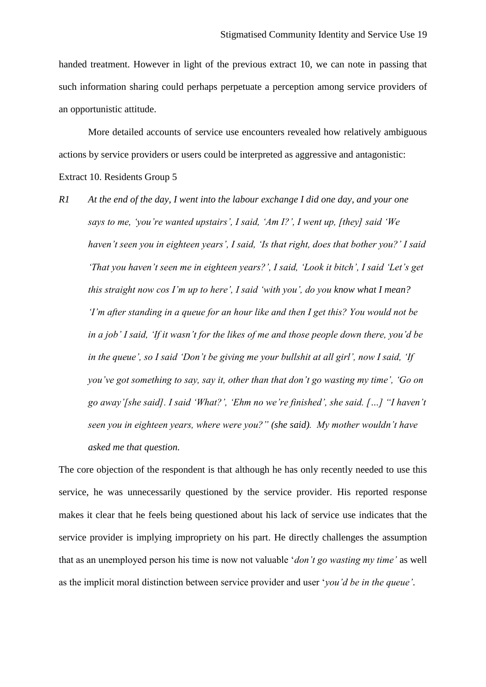handed treatment. However in light of the previous extract 10, we can note in passing that such information sharing could perhaps perpetuate a perception among service providers of an opportunistic attitude.

More detailed accounts of service use encounters revealed how relatively ambiguous actions by service providers or users could be interpreted as aggressive and antagonistic: Extract 10. Residents Group 5

*R1 At the end of the day, I went into the labour exchange I did one day, and your one says to me, 'you're wanted upstairs', I said, 'Am I?', I went up, [they] said 'We haven't seen you in eighteen years', I said, 'Is that right, does that bother you?' I said 'That you haven't seen me in eighteen years?', I said, 'Look it bitch', I said 'Let's get this straight now cos I'm up to here', I said 'with you', do you know what I mean? 'I'm after standing in a queue for an hour like and then I get this? You would not be in a job' I said, 'If it wasn't for the likes of me and those people down there, you'd be in the queue', so I said 'Don't be giving me your bullshit at all girl', now I said, 'If you've got something to say, say it, other than that don't go wasting my time', 'Go on go away'[she said]. I said 'What?', 'Ehm no we're finished', she said. […] "I haven't seen you in eighteen years, where were you?" (she said). My mother wouldn't have asked me that question.*

The core objection of the respondent is that although he has only recently needed to use this service, he was unnecessarily questioned by the service provider. His reported response makes it clear that he feels being questioned about his lack of service use indicates that the service provider is implying impropriety on his part. He directly challenges the assumption that as an unemployed person his time is now not valuable '*don't go wasting my time'* as well as the implicit moral distinction between service provider and user '*you'd be in the queue'*.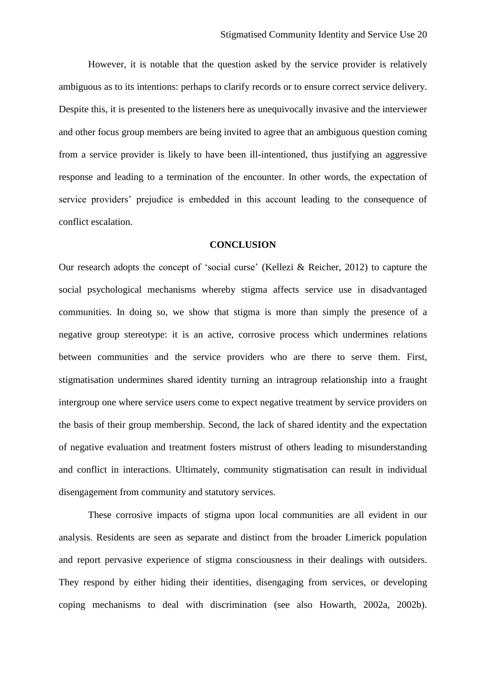However, it is notable that the question asked by the service provider is relatively ambiguous as to its intentions: perhaps to clarify records or to ensure correct service delivery. Despite this, it is presented to the listeners here as unequivocally invasive and the interviewer and other focus group members are being invited to agree that an ambiguous question coming from a service provider is likely to have been ill-intentioned, thus justifying an aggressive response and leading to a termination of the encounter. In other words, the expectation of service providers' prejudice is embedded in this account leading to the consequence of conflict escalation.

#### **CONCLUSION**

Our research adopts the concept of 'social curse' (Kellezi & Reicher, 2012) to capture the social psychological mechanisms whereby stigma affects service use in disadvantaged communities. In doing so, we show that stigma is more than simply the presence of a negative group stereotype: it is an active, corrosive process which undermines relations between communities and the service providers who are there to serve them. First, stigmatisation undermines shared identity turning an intragroup relationship into a fraught intergroup one where service users come to expect negative treatment by service providers on the basis of their group membership. Second, the lack of shared identity and the expectation of negative evaluation and treatment fosters mistrust of others leading to misunderstanding and conflict in interactions. Ultimately, community stigmatisation can result in individual disengagement from community and statutory services.

These corrosive impacts of stigma upon local communities are all evident in our analysis. Residents are seen as separate and distinct from the broader Limerick population and report pervasive experience of stigma consciousness in their dealings with outsiders. They respond by either hiding their identities, disengaging from services, or developing coping mechanisms to deal with discrimination (see also Howarth, 2002a, 2002b).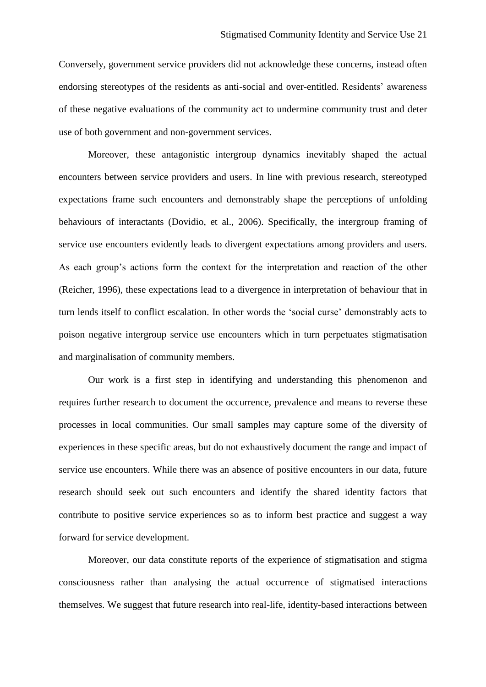Conversely, government service providers did not acknowledge these concerns, instead often endorsing stereotypes of the residents as anti-social and over-entitled. Residents' awareness of these negative evaluations of the community act to undermine community trust and deter use of both government and non-government services.

Moreover, these antagonistic intergroup dynamics inevitably shaped the actual encounters between service providers and users. In line with previous research, stereotyped expectations frame such encounters and demonstrably shape the perceptions of unfolding behaviours of interactants (Dovidio, et al., 2006). Specifically, the intergroup framing of service use encounters evidently leads to divergent expectations among providers and users. As each group's actions form the context for the interpretation and reaction of the other (Reicher, 1996), these expectations lead to a divergence in interpretation of behaviour that in turn lends itself to conflict escalation. In other words the 'social curse' demonstrably acts to poison negative intergroup service use encounters which in turn perpetuates stigmatisation and marginalisation of community members.

Our work is a first step in identifying and understanding this phenomenon and requires further research to document the occurrence, prevalence and means to reverse these processes in local communities. Our small samples may capture some of the diversity of experiences in these specific areas, but do not exhaustively document the range and impact of service use encounters. While there was an absence of positive encounters in our data, future research should seek out such encounters and identify the shared identity factors that contribute to positive service experiences so as to inform best practice and suggest a way forward for service development.

Moreover, our data constitute reports of the experience of stigmatisation and stigma consciousness rather than analysing the actual occurrence of stigmatised interactions themselves. We suggest that future research into real-life, identity-based interactions between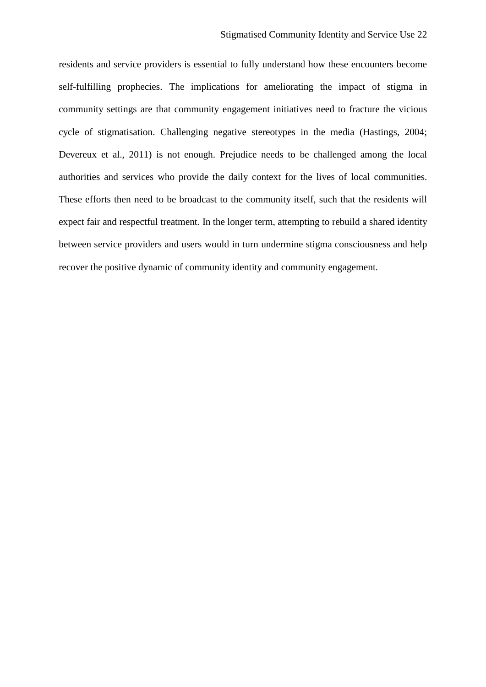residents and service providers is essential to fully understand how these encounters become self-fulfilling prophecies. The implications for ameliorating the impact of stigma in community settings are that community engagement initiatives need to fracture the vicious cycle of stigmatisation. Challenging negative stereotypes in the media (Hastings, 2004; Devereux et al., 2011) is not enough. Prejudice needs to be challenged among the local authorities and services who provide the daily context for the lives of local communities. These efforts then need to be broadcast to the community itself, such that the residents will expect fair and respectful treatment. In the longer term, attempting to rebuild a shared identity between service providers and users would in turn undermine stigma consciousness and help recover the positive dynamic of community identity and community engagement.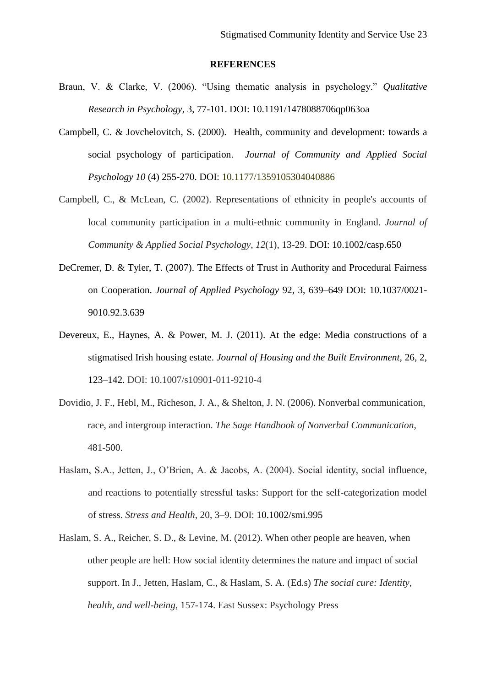#### **REFERENCES**

- Braun, V. & Clarke, V. (2006). "Using thematic analysis in psychology." *Qualitative Research in Psychology,* 3, 77-101. DOI: 10.1191/1478088706qp063oa
- Campbell, C. & Jovchelovitch, S. (2000). Health, community and development: towards a social psychology of participation. *Journal of Community and Applied Social Psychology 10* (4) 255-270. DOI: 10.1177/1359105304040886
- Campbell, C., & McLean, C. (2002). Representations of ethnicity in people's accounts of local community participation in a multi-ethnic community in England. *Journal of Community & Applied Social Psychology*, *12*(1), 13-29. DOI: 10.1002/casp.650
- DeCremer, D. & Tyler, T. (2007). The Effects of Trust in Authority and Procedural Fairness on Cooperation. *Journal of Applied Psychology* 92, 3, 639–649 DOI: 10.1037/0021- 9010.92.3.639
- Devereux, E., Haynes, A. & Power, M. J. (2011). At the edge: Media constructions of a stigmatised Irish housing estate. *Journal of Housing and the Built Environment,* 26, 2, 123–142. DOI: 10.1007/s10901-011-9210-4
- Dovidio, J. F., Hebl, M., Richeson, J. A., & Shelton, J. N. (2006). Nonverbal communication, race, and intergroup interaction. *The Sage Handbook of Nonverbal Communication*, 481-500.
- Haslam, S.A., Jetten, J., O'Brien, A. & Jacobs, A. (2004). Social identity, social influence, and reactions to potentially stressful tasks: Support for the self-categorization model of stress. *Stress and Health*, 20, 3–9. DOI: 10.1002/smi.995
- Haslam, S. A., Reicher, S. D., & Levine, M. (2012). When other people are heaven, when other people are hell: How social identity determines the nature and impact of social support. In J., Jetten, Haslam, C., & Haslam, S. A. (Ed.s) *The social cure: Identity, health, and well-being*, 157-174. East Sussex: Psychology Press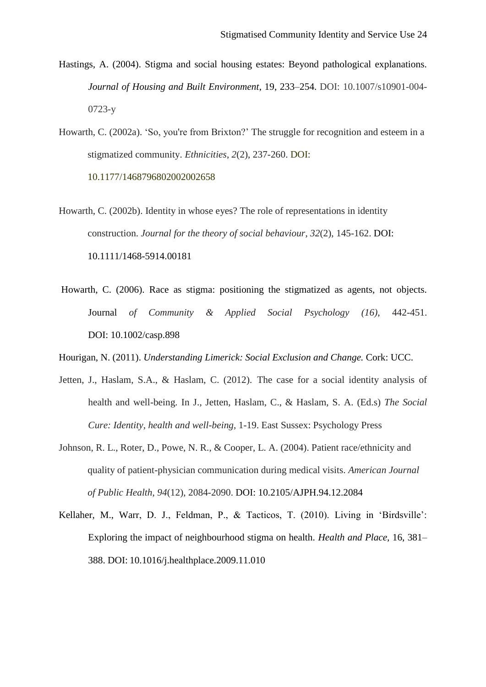- Hastings, A. (2004). Stigma and social housing estates: Beyond pathological explanations. *Journal of Housing and Built Environment*, 19, 233–254. DOI: 10.1007/s10901-004- 0723-y
- Howarth, C. (2002a). 'So, you're from Brixton?' The struggle for recognition and esteem in a stigmatized community. *Ethnicities*, *2*(2), 237-260. DOI: 10.1177/1468796802002002658
- Howarth, C. (2002b). Identity in whose eyes? The role of representations in identity construction. *Journal for the theory of social behaviour*, *32*(2), 145-162. DOI: 10.1111/1468-5914.00181
- Howarth, C. (2006). Race as stigma: positioning the stigmatized as agents, not objects. Journal *of Community & Applied Social Psychology (16)*, 442-451. DOI: 10.1002/casp.898
- Hourigan, N. (2011). *Understanding Limerick: Social Exclusion and Change.* Cork: UCC.
- Jetten, J., Haslam, S.A., & Haslam, C. (2012). The case for a social identity analysis of health and well-being. In J., Jetten, Haslam, C., & Haslam, S. A. (Ed.s) *The Social Cure: Identity, health and well-being,* 1-19. East Sussex: Psychology Press
- Johnson, R. L., Roter, D., Powe, N. R., & Cooper, L. A. (2004). Patient race/ethnicity and quality of patient-physician communication during medical visits. *American Journal of Public Health*, *94*(12), 2084-2090. DOI: 10.2105/AJPH.94.12.2084
- Kellaher, M., Warr, D. J., Feldman, P., & Tacticos, T. (2010). Living in 'Birdsville': Exploring the impact of neighbourhood stigma on health. *Health and Place,* 16, 381– 388. DOI: [10.1016/j.healthplace.2009.11.010](http://dx.doi.org/10.1016/j.healthplace.2009.11.010)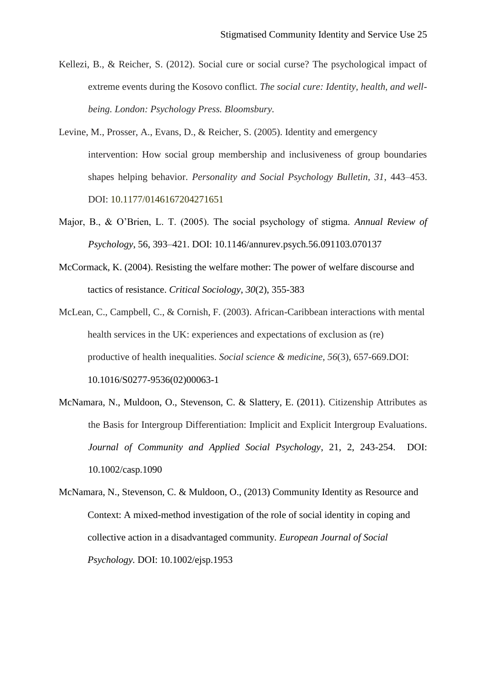- Kellezi, B., & Reicher, S. (2012). Social cure or social curse? The psychological impact of extreme events during the Kosovo conflict. *The social cure: Identity, health, and wellbeing. London: Psychology Press. Bloomsbury.*
- Levine, M., Prosser, A., Evans, D., & Reicher, S. (2005). Identity and emergency intervention: How social group membership and inclusiveness of group boundaries shapes helping behavior. *Personality and Social Psychology Bulletin, 31*, 443–453. DOI: 10.1177/0146167204271651
- Major, B., & O'Brien, L. T. (2005). The social psychology of stigma. *Annual Review of Psychology*, 56, 393–421. DOI: 10.1146/annurev.psych.56.091103.070137
- McCormack, K. (2004). Resisting the welfare mother: The power of welfare discourse and tactics of resistance. *Critical Sociology*, *30*(2), 355-383
- McLean, C., Campbell, C., & Cornish, F. (2003). African-Caribbean interactions with mental health services in the UK: experiences and expectations of exclusion as (re) productive of health inequalities. *Social science & medicine*, *56*(3), 657-669.DOI: [10.1016/S0277-9536\(02\)00063-1](http://dx.doi.org/10.1016/S0277-9536(02)00063-1)
- McNamara, N., Muldoon, O., Stevenson, C. & Slattery, E. (2011). Citizenship Attributes as the Basis for Intergroup Differentiation: Implicit and Explicit Intergroup Evaluations. *Journal of Community and Applied Social Psychology*, 21, 2, 243-254. DOI: 10.1002/casp.1090
- McNamara, N., Stevenson, C. & Muldoon, O., (2013) Community Identity as Resource and Context: A mixed-method investigation of the role of social identity in coping and collective action in a disadvantaged community*. European Journal of Social Psychology.* DOI: 10.1002/ejsp.1953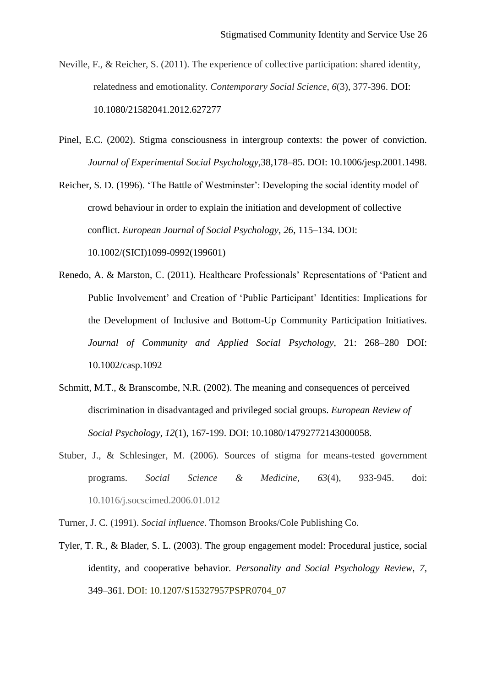- Neville, F., & Reicher, S. (2011). The experience of collective participation: shared identity, relatedness and emotionality. *Contemporary Social Science*, *6*(3), 377-396. DOI: 10.1080/21582041.2012.627277
- Pinel, E.C. (2002). Stigma consciousness in intergroup contexts: the power of conviction. *Journal of Experimental Social Psychology,*38,178–85. DOI: [10.1006/jesp.2001.1498.](http://dx.doi.org/10.1006/jesp.2001.1498)
- Reicher, S. D. (1996). 'The Battle of Westminster': Developing the social identity model of crowd behaviour in order to explain the initiation and development of collective conflict. *European Journal of Social Psychology, 26*, 115–134. DOI: 10.1002/(SICI)1099-0992(199601)
- Renedo, A. & Marston, C. (2011). Healthcare Professionals' Representations of 'Patient and Public Involvement' and Creation of 'Public Participant' Identities: Implications for the Development of Inclusive and Bottom-Up Community Participation Initiatives. *Journal of Community and Applied Social Psychology*, 21: 268–280 DOI: 10.1002/casp.1092
- Schmitt, M.T., & Branscombe, N.R. (2002). The meaning and consequences of perceived discrimination in disadvantaged and privileged social groups. *European Review of Social Psychology, 12*(1), 167-199. DOI: 10.1080/14792772143000058.
- Stuber, J., & Schlesinger, M. (2006). Sources of stigma for means-tested government programs. *Social Science & Medicine*, *63*(4), 933-945. doi: 10.1016/j.socscimed.2006.01.012
- Turner, J. C. (1991). *Social influence*. Thomson Brooks/Cole Publishing Co.
- Tyler, T. R., & Blader, S. L. (2003). The group engagement model: Procedural justice, social identity, and cooperative behavior. *Personality and Social Psychology Review, 7,*  349–361. DOI: 10.1207/S15327957PSPR0704\_07